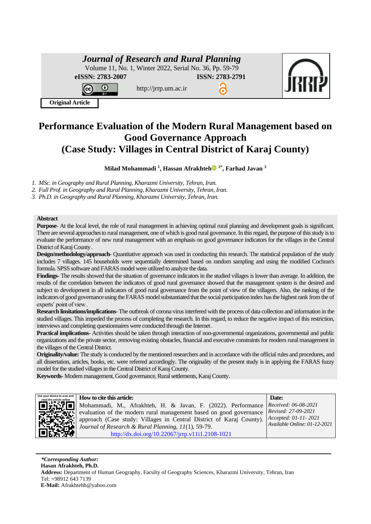# *Journal of Research and Rural Planning*

http://jrrp.um.ac.ir

Volume 11, No. 1, Winter 2022, Serial No. 36, Pp. 59-79

**eISSN: 2783-2007 ISSN: 2783-2791**



**Original Article**

⋒

# **Performance Evaluation of the Modern Rural Management based on Good Governance Approach (Case Study: Villages in Central District of Karaj County)**

**Milad Mohammadi <sup>1</sup> , Hassan Afrakhte[h](https://orcid.org/0000-0002-5077-7032) 2\* , Farhad Javan <sup>3</sup>**

*1. MSc. in Geography and Rural Planning, Kharazmi University, Tehran, Iran.*

*2. Full Prof. in Geography and Rural Planning, Kharazmi University, Tehran, Iran.*

*3. Ph.D. in Geography and Rural Planning, Kharazmi University, Tehran, Iran.*

### **Abstract**

**Purpose**- At the local level, the role of rural management in achieving optimal rural planning and development goals is significant. There are several approaches to rural management, one of which is good rural governance. In this regard, the purpose of this study is to evaluate the performance of new rural management with an emphasis on good governance indicators for the villages in the Central District of Karaj County .

**Design/methodology/approach**- Quantitative approach was used in conducting this research. The statistical population of the study includes 7 villages. 145 households were sequentially determined based on random sampling and using the modified Cochran's formula. SPSS software and FARAS model were utilized to analyze the data .

**Findings**- The results showed that the situation of governance indicators in the studied villages is lower than average. In addition, the results of the correlation between the indicators of good rural governance showed that the management system is the desired and subject to development in all indicators of good rural governance from the point of view of the villagers. Also, the ranking of the indicators of good governance using the FARAS model substantiated that the social participation index has the highest rank from the of experts' point of view .

**Research limitations/implications-** The outbreak of corona virus interfered with the process of data collection and information in the studied villages. This impeded the process of completing the research. In this regard, to reduce the negative impact of this restriction, interviews and completing questionnaires were conducted through the Internet .

**Practical implications**- Activities should be taken through interaction of non-governmental organizations, governmental and public organizations and the private sector, removing existing obstacles, financial and executive constraints for modern rural management in the villages of the Central District.

**Originality/value:** The study is conducted by the mentioned researchers and in accordance with the official rules and procedures, and all dissertation, articles, books, etc. were referred accordingly. The originality of the present study is in applying the FARAS fuzzy model for the studied villages in the Central District of Karaj County.

Keywords- Modern management, Good governance, Rural settlements, Karaj County.



*FROW* **to cite this article: <b>EXECUTE: EXECUTE: Date: Date: Date:** Mohammadi, M., Afrakhteh, H. & Javan, F. (2022). Performance evaluation of the modern rural management based on good governance approach (Case study: Villages in Central District of Karaj County). *Journal of Research & Rural Planning, 11*(1), 59-79. [http://dx.doi.org/10.22067/jrrp.v11i1.2108-1021](http://dx.doi.org/10.22067/jrrp.v10i1.88785)

*Received: 06-08-2021 Revised: 27-09-2021 Accepted: 01-11- 2021 Available Online: 01-12-2021* 

*\*Corresponding Author:* **Hasan Afrakhteh, Ph.D. Address:** Department of Human Geography, Faculty of Geography Sciences, Kharazmi University, Tehran, Iran Tel: +98912 643 7139 **E-Mail:** Afrakhtehh@yahoo.com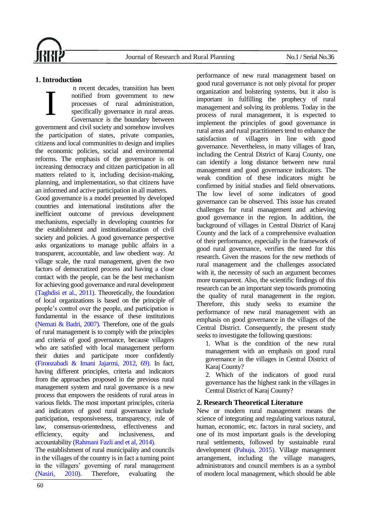

# **1. Introduction**

n recent decades, transition has been notified from government to new processes of rural administration, specifically governance in rural areas. Governance is the boundary between government and civil society and somehow involves the participation of states, private companies, citizens and local communities to design and implies the economic policies, social and environmental reforms. The emphasis of the governance is on increasing democracy and citizen participation in all matters related to it, including decision-making, planning, and implementation, so that citizens have an informed and active participation in all matters. I

Good governance is a model presented by developed countries and international institutions after the inefficient outcome of previous development mechanisms, especially in developing countries for the establishment and institutionalization of civil society and policies. A good governance perspective asks organizations to manage public affairs in a transparent, accountable, and law obedient way. At village scale, the rural management, given the two factors of democratized process and having a close contact with the people, can be the best mechanism for achieving good governance and rural development [\(Taghdisi et al., 2011\).](#page-18-0) Theoretically, the foundation of local organizations is based on the principle of people's control over the people, and participation is fundamental in the essance of these institutions [\(Nemati & Badri, 2007\).](#page-18-1) Therefore, one of the goals of rural management is to comply with the principles and criteria of good governance, because villagers who are satisfied with local management perform their duties and participate more confidently [\(Firoozabadi & Imani Jajarmi, 2012, 69\).](#page-17-0) In fact, having different principles, criteria and indicators from the approaches proposed in the previous rural management system and rural governance is a new process that empowers the residents of rural areas in various fields. The most important principles, criteria and indicators of good rural governance include participation, responsiveness, transparency, rule of law, consensus-orientedness, effectiveness and efficiency, equity and inclusiveness, and accountability [\(Rahmani Fazli and et al, 2014\).](#page-18-2)

The establishment of rural municipality and councils in the villages of the country is in fact a turning point in the villagers' governing of rural management [\(Nasiri, 2010\).](#page-18-3) Therefore, evaluating the

performance of new rural management based on good rural governance is not only pivotal for proper organization and bolstering systems, but it also is important in fulfilling the prophecy of rural management and solving its problems. Today in the process of rural management, it is expected to implement the principles of good governance in rural areas and rural practitioners tend to enhance the satisfaction of villagers in line with good governance. Nevertheless, in many villages of Iran, including the Central District of Karaj County, one can identify a long distance between new rural management and good governance indicators. The weak condition of these indicators might be confirmed by initial studies and field observations. The low level of some indicators of good governance can be observed. This issue has created challenges for rural management and achieving good governance in the region. In addition, the background of villages in Central District of Karaj County and the lack of a comprehensive evaluation of their performance, especially in the framework of good rural governance, verifies the need for this research. Given the reasons for the new methods of rural management and the challenges associated with it, the necessity of such an argument becomes more transparent. Also, the scientific findings of this research can be an important step towards promoting the quality of rural management in the region. Therefore, this study seeks to examine the performance of new rural management with an emphasis on good governance in the villages of the Central District. Consequently, the present study seeks to investigate the following questions:

1. What is the condition of the new rural management with an emphasis on good rural governance in the villages in Central District of Karaj County?

2. Which of the indicators of good rural governance has the highest rank in the villages in Central District of Karaj County?

# **2. Research Theoretical Literature**

New or modern rural management means the science of integrating and regulating various natural, human, economic, etc. factors in rural society, and one of its most important goals is the developing rural settlements, followed by sustainable rural development [\(Pahuja, 2015\).](#page-18-4) Village management arrangement, including the village managers, administrators and council members is as a symbol of modern local management, which should be able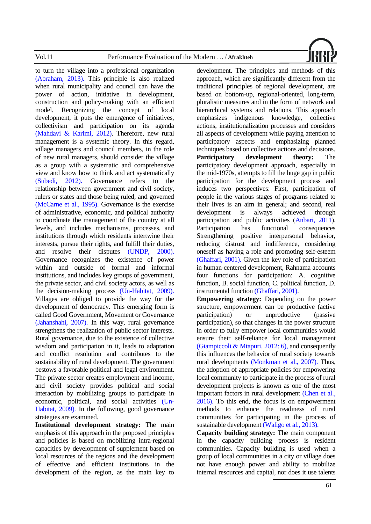

to turn the village into a professional organization [\(Abraham, 2013\).](#page-17-1) This principle is also realized when rural municipality and council can have the power of action, initiative in development, construction and policy-making with an efficient model. Recognizing the concept of local development, it puts the emergence of initiatives, collectivism and participation on its agenda [\(Mahdavi & Karimi, 2012\).](#page-17-2) Therefore, new rural management is a systemic theory. In this regard, village managers and council members, in the role of new rural managers, should consider the village as a group with a systematic and comprehensive view and know how to think and act systematically [\(Subedi, 2012\).](#page-18-5) Governance refers to the relationship between government and civil society, rulers or states and those being ruled, and governed [\(McCarne et al., 1995\).](#page-17-3) Governance is the exercise of administrative, economic, and political authority to coordinate the management of the country at all levels, and includes mechanisms, processes, and institutions through which residents intertwine their interests, pursue their rights, and fulfill their duties, and resolve their disputes [\(UNDP, 2000\).](#page-18-6) Governance recognizes the existence of power within and outside of formal and informal institutions, and includes key groups of government, the private sector, and civil society actors, as well as the decision-making process [\(Un-Habitat, 2009\).](#page-18-7) Villages are obliged to provide the way for the development of democracy. This emerging form is called Good Government, Movement or Governance [\(Jahanshahi, 2007\).](#page-17-4) In this way, rural governance strengthens the realization of public sector interests. Rural governance, due to the existence of collective wisdom and participation in it, leads to adaptation and conflict resolution and contributes to the sustainability of rural development. The government bestows a favorable political and legal environment. The private sector creates employment and income, and civil society provides political and social interaction by mobilizing groups to participate in economic, political, and social activities [\(Un-](#page-18-7)[Habitat, 2009\).](#page-18-7) In the following, good governance strategies are examined.

**Institutional development strategy:** The main emphasis of this approach in the proposed principles and policies is based on mobilizing intra-regional capacities by development of supplement based on local resources of the regions and the development of effective and efficient institutions in the development of the region, as the main key to development. The principles and methods of this approach, which are significantly different from the traditional principles of regional development, are based on bottom-up, regional-oriented, long-term, pluralistic measures and in the form of network and hierarchical systems and relations. This approach emphasizes indigenous knowledge, collective actions, institutionalization processes and considers all aspects of development while paying attention to participatory aspects and emphasizing planned techniques based on collective actions and decisions. **Participatory development theory:** The participatory development approach, especially in the mid-1970s, attempts to fill the huge gap in public participation for the development process and induces two perspectives: First, participation of people in the various stages of programs related to their lives is an aim in general; and second, real development is always achieved through participation and public activities [\(Anbari, 2011\)](#page-17-5). Participation has functional consequences Strengthening positive interpersonal behavior, reducing distrust and indifference, considering oneself as having a role and promoting self-esteem [\(Ghaffari, 2001\).](#page-17-6) Given the key role of participation in human-centered development, Rahnama accounts four functions for participation: A. cognitive function, B. social function, C. political function, D. instrumental functio[n \(Ghaffari, 2001\).](#page-17-6) 

**Empowering strategy:** Depending on the power structure, empowerment can be productive (active participation) or unproductive (passive participation), so that changes in the power structure in order to fully empower local communities would ensure their self-reliance for local management [\(Giampiccoli & Mtapuri, 2012: 6\),](#page-17-7) and consequently this influences the behavior of rural society towards rural developments [\(Monkman et al., 2007\).](#page-18-8) Thus, the adoption of appropriate policies for empowering local community to participate in the process of rural development projects is known as one of the most important factors in rural development [\(Chen et al.,](#page-17-5)  [2016\).](#page-17-5) To this end, the focus is on empowerment methods to enhance the readiness of rural communities for participating in the process of sustainable development [\(Waligo et al., 2013\).](#page-18-9)

**Capacity building strategy:** The main component in the capacity building process is resident communities. Capacity building is used when a group of local communities in a city or village does not have enough power and ability to mobilize internal resources and capital, nor does it use talents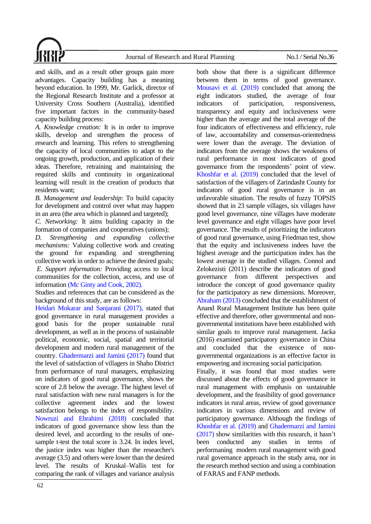and skills, and as a result other groups gain more advantages. Capacity building has a meaning beyond education. In 1999, Mr. Garlick, director of the Regional Research Institute and a professor at University Cross Southern (Australia), identified five important factors in the community-based capacity building process:

*A. Knowledge creation:* It is in order to improve skills, develop and strengthen the process of research and learning. This refers to strengthening the capacity of local communities to adapt to the ongoing growth, production, and application of their ideas. Therefore, retraining and maintaining the required skills and continuity in organizational learning will result in the creation of products that residents want;

*B. Management and leadership*: To build capacity for development and control over what may happen in an area (the area which is planned and targeted);

*C. Networking:* It aims building capacity in the formation of companies and cooperatives (unions);

*D. Strengthening and expanding collective mechanisms:* Valuing collective work and creating the ground for expanding and strengthening collective work in order to achieve the desired goals; *E. Support information:* Providing access to local communities for the collection, access, and use of information [\(Mc Ginty and Cook, 2002\).](#page-17-8)

Studies and references that can be considered as the background of this study, are as follows:

[Heidari Mokarar and Sanjarani \(2017\),](#page-17-9) stated that good governance in rural management provides a good basis for the proper sustainable rural development, as well as in the process of sustainable political, economic, social, spatial and territorial development and modern rural management of the countr[y. Ghadermarzi and Jamini \(2017\)](#page-17-10) found that the level of satisfaction of villagers in Shaho District from performance of rural managers, emphasizing on indicators of good rural governance, shows the score of 2.8 below the average. The highest level of rural satisfaction with new rural managers is for the collective agreement index and the lowest satisfaction belongs to the index of responsibility. [Nowruzi and Ebrahimi \(2018\)](#page-18-10) concluded that indicators of good governance show less than the desired level, and according to the results of onesample t-test the total score is 3.24. In index level, the justice index was higher than the researcher's average (3.5) and others were lower than the desired level. The results of Kruskal–Wallis test for comparing the rank of villages and variance analysis both show that there is a significant difference between them in terms of good governance. [Mousavi et al. \(2019\)](#page-18-11) concluded that among the eight indicators studied, the average of four indicators of participation, responsiveness, transparency and equity and inclusiveness were higher than the average and the total average of the four indicators of effectiveness and efficiency, rule of law, accountability and consensus-orientedness were lower than the average. The deviation of indicators from the average shows the weakness of rural performance in most indicators of good governance from the respondents' point of view. [Khoshfar et al. \(2019\)](#page-17-11) concluded that the level of satisfaction of the villagers of Zarindasht County for indicators of good rural governance is in an unfavorable situation. The results of fuzzy TOPSIS showed that in 23 sample villages, six villages have good level governance, nine villages have moderate level governance and eight villages have poor level governance. The results of prioritizing the indicators of good rural governance, using Friedman test, show that the equity and inclusiveness indees have the highest average and the participation index has the lowest average in the studied villages. Connol and Zelokezisti (2011) describe the indicators of good governance from different perspectives and introduce the concept of good governance quality for the participatory as new dimensions. Moreover, [Abraham \(2013\)](#page-17-1) concluded that the establishment of Anand Rural Management Institute has been quite effective and therefore, other governmental and nongovernmental institutions have been established with similar goals to improve rural management. Jacka (2016) examined participatory governance in China and concluded that the existence of nongovernmental organizations is an effective factor in empowering and increasing social participation.

Finally, it was found that most studies were discussed about the effects of good governance in rural management with emphasis on sustainable development, and the feasibility of good governance indicators in rural areas, review of good governance indicators in various dimensions and review of participatory governance. Although the findings of [Khoshfar et al. \(2019\)](#page-17-11) and [Ghadermarzi and Jamini](#page-17-10)  [\(2017\)](#page-17-10) show similarities with this research, it hasn't been conducted any studies in terms of performaning modern rural management with good rural governance approach in the study area, nor in the research method section and using a combination of FARAS and FANP methods.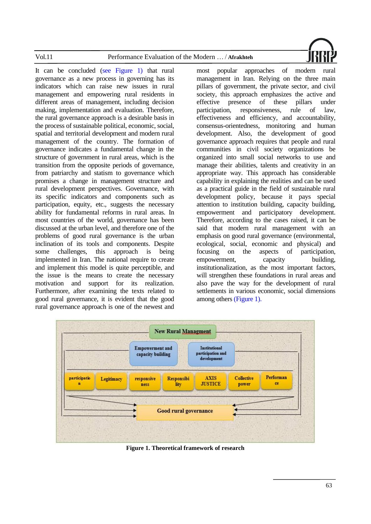| Vol.1 | Performance Evaluation of the Modern<br>Afrakhteh |  |
|-------|---------------------------------------------------|--|
|       |                                                   |  |

It can be concluded [\(see Figure 1\)](#page-4-0) that rural governance as a new process in governing has its indicators which can raise new issues in rural management and empowering rural residents in different areas of management, including decision making, implementation and evaluation. Therefore, the rural governance approach is a desirable basis in the process of sustainable political, economic, social, spatial and territorial development and modern rural management of the country. The formation of governance indicates a fundamental change in the structure of government in rural areas, which is the transition from the opposite periods of governance, from patriarchy and statism to governance which promises a change in management structure and rural development perspectives. Governance, with its specific indicators and components such as participation, equity, etc., suggests the necessary ability for fundamental reforms in rural areas. In most countries of the world, governance has been discussed at the urban level, and therefore one of the problems of good rural governance is the urban inclination of its tools and components. Despite some challenges, this approach is being implemented in Iran. The national require to create and implement this model is quite perceptible, and the issue is the means to create the necessary motivation and support for its realization. Furthermore, after examining the texts related to good rural governance, it is evident that the good rural governance approach is one of the newest and

most popular approaches of modern rural management in Iran. Relying on the three main pillars of government, the private sector, and civil society, this approach emphasizes the active and effective presence of these pillars under participation, responsiveness, rule of law, effectiveness and efficiency, and accountability, consensus-orientedness, monitoring and human development. Also, the development of good governance approach requires that people and rural communities in civil society organizations be organized into small social networks to use and manage their abilities, talents and creativity in an appropriate way. This approach has considerable capability in explaining the realities and can be used as a practical guide in the field of sustainable rural development policy, because it pays special attention to institution building, capacity building, empowerment and participatory development. Therefore, according to the cases raised, it can be said that modern rural management with an emphasis on good rural governance (environmental, ecological, social, economic and physical) and focusing on the aspects of participation, empowerment, capacity building, institutionalization, as the most important factors, will strengthen these foundations in rural areas and also pave the way for the development of rural settlements in various economic, social dimensions among others [\(Figure 1\).](#page-4-0)

<span id="page-4-0"></span>

**Figure 1. Theoretical framework of research**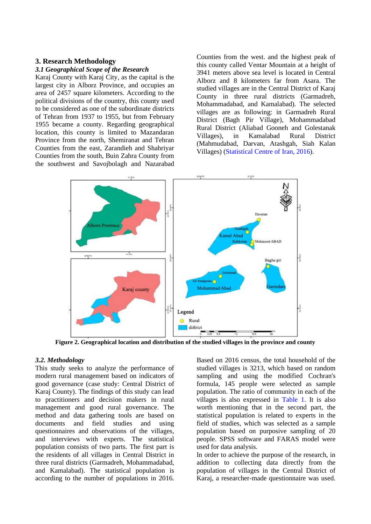# **3. Research Methodology**

## *3.1 Geographical Scope of the Research*

Karaj County with Karaj City, as the capital is the largest city in Alborz Province, and occupies an area of 2457 square kilometers. According to the political divisions of the country, this county used to be considered as one of the subordinate districts of Tehran from 1937 to 1955, but from February 1955 became a county. Regarding geographical location, this county is limited to Mazandaran Province from the north, Shemiranat and Tehran Counties from the east, Zarandieh and Shahriyar Counties from the south, Buin Zahra County from the southwest and Savojbolagh and Nazarabad

Counties from the west. and the highest peak of this county called Ventar Mountain at a height of 3941 meters above sea level is located in Central Alborz and 8 kilometers far from Asara. The studied villages are in the Central District of Karaj County in three rural districts (Garmadreh, Mohammadabad, and Kamalabad). The selected villages are as following: in Garmadreh Rural District (Bagh Pir Village), Mohammadabad Rural District (Aliabad Gooneh and Golestanak Villages), in Kamalabad Rural District (Mahmudabad, Darvan, Atashgah, Siah Kalan Villages) (Statistical Centre [of Iran, 2016\)](#page-18-0).



**Figure 2. Geographical location and distribution of the studied villages in the province and county**

# *3.2. Methodology*

This study seeks to analyze the performance of modern rural management based on indicators of good governance (case study: Central District of Karaj County). The findings of this study can lead to practitioners and decision makers in rural management and good rural governance. The method and data gathering tools are based on documents and field studies and using questionnaires and observations of the villages, and interviews with experts. The statistical population consists of two parts. The first part is the residents of all villages in Central District in three rural districts (Garmadreh, Mohammadabad, and Kamalabad). The statistical population is according to the number of populations in 2016.

Based on 2016 census, the total household of the studied villages is 3213, which based on random sampling and using the modified Cochran's formula, 145 people were selected as sample population. The ratio of community in each of the villages is also expressed in [Table 1.](#page-6-0) It is also worth mentioning that in the second part, the statistical population is related to experts in the field of studies, which was selected as a sample population based on purposive sampling of 20 people. SPSS software and FARAS model were used for data analysis.

In order to achieve the purpose of the research, in addition to collecting data directly from the population of villages in the Central District of Karaj, a researcher-made questionnaire was used.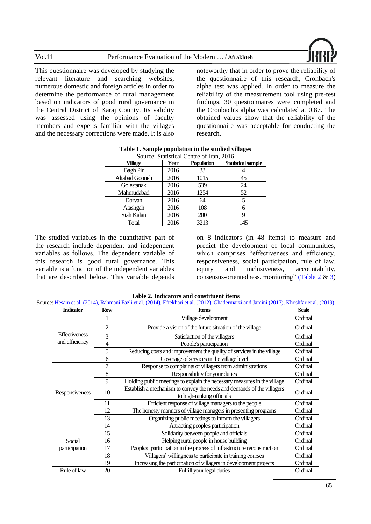| Vol.11<br>Performance Evaluation of the Modern  / Afrakhteh |  |
|-------------------------------------------------------------|--|
|-------------------------------------------------------------|--|



This questionnaire was developed by studying the relevant literature and searching websites, numerous domestic and foreign articles in order to determine the performance of rural management based on indicators of good rural governance in the Central District of Karaj County. Its validity was assessed using the opinions of faculty members and experts familiar with the villages and the necessary corrections were made. It is also

noteworthy that in order to prove the reliability of the questionnaire of this research, Cronbach's alpha test was applied. In order to measure the reliability of the measurement tool using pre-test findings, 30 questionnaires were completed and the Cronbach's alpha was calculated at 0.87. The obtained values show that the reliability of the questionnaire was acceptable for conducting the research.

<span id="page-6-0"></span>

| Source: Statistical Centre of Iran, 2016 |      |                   |                           |  |  |  |  |  |
|------------------------------------------|------|-------------------|---------------------------|--|--|--|--|--|
| Village                                  | Year | <b>Population</b> | <b>Statistical sample</b> |  |  |  |  |  |
| <b>Bagh Pir</b>                          | 2016 | 33                |                           |  |  |  |  |  |
| Aliabad Gooneh                           | 2016 | 1015              | 45                        |  |  |  |  |  |
| Golestanak                               | 2016 | 539               | 24                        |  |  |  |  |  |
| Mahmudabad                               | 2016 | 1254              | 52                        |  |  |  |  |  |
| Dorvan                                   | 2016 | 64                | 5                         |  |  |  |  |  |
| Atashgah                                 | 2016 | 108               | 6                         |  |  |  |  |  |
| Siah Kalan                               | 2016 | 200               | 9                         |  |  |  |  |  |
| Total                                    | 2016 | 3213              | 145                       |  |  |  |  |  |

|  | Table 1. Sample population in the studied villages |  |  |
|--|----------------------------------------------------|--|--|
|  |                                                    |  |  |

The studied variables in the quantitative part of the research include dependent and independent variables as follows. The dependent variable of this research is good rural governance. This variable is a function of the independent variables that are described below. This variable depends

on 8 indicators (in 48 items) to measure and predict the development of local communities, which comprises "effectiveness and efficiency, responsiveness, social participation, rule of law, equity and inclusiveness, accountability, consensus-orientedness, monitoring" [\(Table 2](#page-6-1) & [3\)](#page-7-0)

| Table 2. Indicators and constituent items |  |
|-------------------------------------------|--|
|-------------------------------------------|--|

<span id="page-6-1"></span>

| <b>Indicator</b>     | <b>Row</b> | <b>Items</b>                                                                                        | <b>Scale</b> |
|----------------------|------------|-----------------------------------------------------------------------------------------------------|--------------|
|                      |            | Village development                                                                                 | Ordinal      |
|                      | 2          | Provide a vision of the future situation of the village                                             | Ordinal      |
| <b>Effectiveness</b> | 3          | Satisfaction of the villagers                                                                       | Ordinal      |
| and efficiency       | 4          | People's participation                                                                              | Ordinal      |
|                      | 5          | Reducing costs and improvement the quality of services in the village                               | Ordinal      |
|                      | 6          | Coverage of services in the village level                                                           | Ordinal      |
|                      | 7          | Response to complaints of villagers from administrations                                            | Ordinal      |
|                      | 8          | Responsibility for your duties                                                                      | Ordinal      |
|                      | 9          | Holding public meetings to explain the necessary measures in the village                            | Ordinal      |
| Responsiveness       | 10         | Establish a mechanism to convey the needs and demands of the villagers<br>to high-ranking officials | Ordinal      |
|                      | 11         | Efficient response of village managers to the people                                                | Ordinal      |
|                      | 12         | The honesty manners of village managers in presenting programs                                      | Ordinal      |
|                      | 13         | Organizing public meetings to inform the villagers                                                  | Ordinal      |
|                      | 14         | Attracting people's participation                                                                   | Ordinal      |
|                      | 15         | Solidarity between people and officials                                                             | Ordinal      |
| Social               | 16         | Helping rural people in house building                                                              | Ordinal      |
| participation        | 17         | Peoples' participation in the process of infrastructure reconstruction                              | Ordinal      |
|                      | 18         | Villagers' willingness to participate in training courses                                           | Ordinal      |
|                      | 19         | Increasing the participation of villagers in development projects                                   | Ordinal      |
| Rule of law          | 20         | Fulfill your legal duties                                                                           | Ordinal      |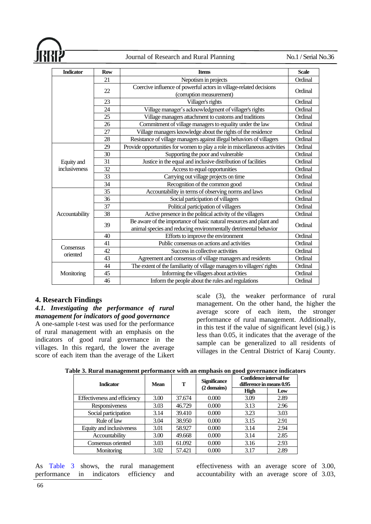| <b>Indicator</b> | <b>Row</b> | <b>Items</b>                                                                                                                            | <b>Scale</b> |
|------------------|------------|-----------------------------------------------------------------------------------------------------------------------------------------|--------------|
|                  | 21         | Nepotism in projects                                                                                                                    | Ordinal      |
|                  | 22         | Coercive influence of powerful actors in village-related decisions<br>(corruption measurement)                                          | Ordinal      |
|                  | 23         | Villager's rights                                                                                                                       | Ordinal      |
|                  | 24         | Village manager's acknowledgment of villager's rights                                                                                   | Ordinal      |
|                  | 25         | Village managers attachment to customs and traditions                                                                                   | Ordinal      |
|                  | 26         | Commitment of village managers to equality under the law                                                                                | Ordinal      |
|                  | 27         | Village managers knowledge about the rights of the residence                                                                            | Ordinal      |
|                  | 28         | Resistance of village managers against illegal behaviors of villagers                                                                   | Ordinal      |
|                  | 29         | Provide opportunities for women to play a role in miscellaneous activities                                                              | Ordinal      |
|                  | 30         | Supporting the poor and vulnerable                                                                                                      | Ordinal      |
| Equity and       | 31         | Justice in the equal and inclusive distribution of facilities                                                                           | Ordinal      |
| inclusiveness    | 32         | Access to equal opportunities                                                                                                           | Ordinal      |
|                  | 33         | Carrying out village projects on time                                                                                                   | Ordinal      |
|                  | 34         | Recognition of the common good                                                                                                          | Ordinal      |
|                  | 35         | Accountability in terms of observing norms and laws                                                                                     | Ordinal      |
|                  | 36         | Social participation of villagers                                                                                                       | Ordinal      |
|                  | 37         | Political participation of villagers                                                                                                    | Ordinal      |
| Accountability   | 38         | Active presence in the political activity of the villagers                                                                              | Ordinal      |
|                  | 39         | Be aware of the importance of basic natural resources and plant and<br>animal species and reducing environmentally detrimental behavior | Ordinal      |
|                  | 40         | Efforts to improve the environment                                                                                                      | Ordinal      |
|                  | 41         | Public consensus on actions and activities                                                                                              | Ordinal      |
| Consensus        | 42         | Success in collective activities                                                                                                        | Ordinal      |
| oriented         | 43         | Agreement and consensus of village managers and residents                                                                               | Ordinal      |
|                  | 44         | The extent of the familiarity of village managers to villagers' rights                                                                  | Ordinal      |
| Monitoring       | 45         | Informing the villagers about activities                                                                                                | Ordinal      |
|                  | 46         | Inform the people about the rules and regulations                                                                                       | Ordinal      |

# **4. Research Findings**

# *4.1. Investigating the performance of rural management for indicators of good governance*

A one-sample t-test was used for the performance of rural management with an emphasis on the indicators of good rural governance in the villages. In this regard, the lower the average score of each item than the average of the Likert scale (3), the weaker performance of rural management. On the other hand, the higher the average score of each item, the stronger performance of rural management. Additionally, in this test if the value of significant level (sig.) is less than 0.05, it indicates that the average of the sample can be generalized to all residents of villages in the Central District of Karaj County.

<span id="page-7-0"></span>

|  |  |  | Table 3. Rural management performance with an emphasis on good governance indicators |
|--|--|--|--------------------------------------------------------------------------------------|
|  |  |  |                                                                                      |
|  |  |  |                                                                                      |
|  |  |  |                                                                                      |

| <b>Indicator</b>             | <b>Mean</b> | T      | <b>Significance</b><br>(2 domains) | Confidence interval for<br>difference in means 0.95 |      |  |
|------------------------------|-------------|--------|------------------------------------|-----------------------------------------------------|------|--|
|                              |             |        |                                    | <b>High</b>                                         | Low  |  |
| Effectiveness and efficiency | 3.00        | 37.674 | 0.000                              | 3.09                                                | 2.89 |  |
| Responsiveness               | 3.03        | 46.729 | 0.000                              | 3.13                                                | 2.96 |  |
| Social participation         | 3.14        | 39.410 | 0.000                              | 3.23                                                | 3.03 |  |
| Rule of law                  | 3.04        | 38.950 | 0.000                              | 3.15                                                | 2.91 |  |
| Equity and inclusiveness     | 3.01        | 58.927 | 0.000                              | 3.14                                                | 2.94 |  |
| Accountability               | 3.00        | 49.668 | 0.000                              | 3.14                                                | 2.85 |  |
| Consensus oriented           | 3.03        | 61.092 | 0.000                              | 3.16                                                | 2.93 |  |
| Monitoring                   | 3.02        | 57.421 | 0.000                              | 3.17                                                | 2.89 |  |

As [Table 3](#page-7-0) shows, the rural management performance in indicators efficiency and

effectiveness with an average score of 3.00, accountability with an average score of 3.03,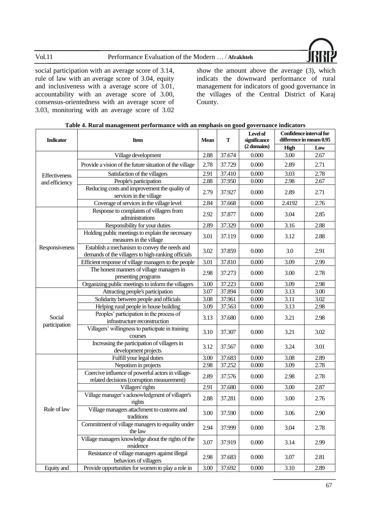

social participation with an average score of 3.14, rule of law with an average score of 3.04, equity and inclusiveness with a average score of 3.01, accountability with an average score of 3.00, consensus-orientedness with an average score of 3.03, monitoring with an average score of 3.02 show the amount above the average (3), which indicats the downward performance of rural management for indicators of good governance in the villages of the Central District of Karaj County.

| <b>Indicator</b>                | <b>Item</b>                                                                                         | <b>Mean</b> | т      | Level of<br>significance | Confidence interval for<br>difference in means 0.95 |      |
|---------------------------------|-----------------------------------------------------------------------------------------------------|-------------|--------|--------------------------|-----------------------------------------------------|------|
|                                 |                                                                                                     |             |        | (2 domains)              | High                                                | Low  |
|                                 | Village development                                                                                 | 2.88        | 37.674 | 0.000                    | 3.00                                                | 2.67 |
|                                 | Provide a vision of the future situation of the village                                             | 2.78        | 37.729 | 0.000                    | 2.89                                                | 2.71 |
| Effectiveness<br>and efficiency | Satisfaction of the villagers                                                                       | 2.91        | 37.410 | 0.000                    | 3.03                                                | 2.78 |
|                                 | People's participation                                                                              | 2.88        | 37.950 | 0.000                    | 2.98                                                | 2.67 |
|                                 | Reducing costs and improvement the quality of<br>services in the village                            | 2.79        | 37.927 | 0.000                    | 2.89                                                | 2.71 |
|                                 | Coverage of services in the village level                                                           | 2.84        | 37.668 | 0.000                    | 2.4192                                              | 2.76 |
|                                 | Response to complaints of villagers from<br>administrations                                         | 2.92        | 37.877 | 0.000                    | 3.04                                                | 2.85 |
|                                 | Responsibility for your duties                                                                      | 2.89        | 37.329 | 0.000                    | 3.16                                                | 2.88 |
|                                 | Holding public meetings to explain the necessary<br>measures in the village                         | 3.01        | 37.119 | 0.000                    | 3.12                                                | 2.88 |
| Responsiveness                  | Establish a mechanism to convey the needs and<br>demands of the villagers to high-ranking officials | 3.02        | 37.859 | 0.000                    | 3.0                                                 | 2.91 |
|                                 | Efficient response of village managers to the people                                                | 3.01        | 37.810 | 0.000                    | 3.09                                                | 2.99 |
|                                 | The honest manners of village managers in<br>presenting programs                                    | 2.98        | 37.273 | 0.000                    | 3.00                                                | 2.78 |
|                                 | Organizing public meetings to inform the villagers                                                  | 3.00        | 37.223 | 0.000                    | 3.09                                                | 2.98 |
|                                 | Attracting people's participation                                                                   | 3.07        | 37.894 | 0.000                    | 3.13                                                | 3.00 |
|                                 | Solidarity between people and officials                                                             | 3.08        | 37.961 | 0.000                    | 3.11                                                | 3.02 |
|                                 | Helping rural people in house building                                                              | 3.09        | 37.563 | 0.000                    | 3.13                                                | 2.98 |
| Social                          | Peoples' participation in the process of<br>infrastructure reconstruction                           | 3.13        | 37.680 | 0.000                    | 3.21                                                | 2.98 |
| participation                   | Villagers' willingness to participate in training<br>courses                                        | 3.10        | 37.307 | 0.000                    | 3.21                                                | 3.02 |
|                                 | Increasing the participation of villagers in<br>development projects                                | 3.12        | 37.567 | 0.000                    | 3.24                                                | 3.01 |
|                                 | Fulfill your legal duties                                                                           | 3.00        | 37.683 | 0.000                    | 3.08                                                | 2.89 |
|                                 | Nepotism in projects                                                                                | 2.98        | 37.252 | 0.000                    | 3.09                                                | 2.78 |
|                                 | Coercive influence of powerful actors in village-<br>related decisions (corruption measurement)     | 2.89        | 37.576 | 0.000                    | 2.98                                                | 2.78 |
|                                 | Villagers' rights                                                                                   | 2.91        | 37.680 | 0.000                    | 3.00                                                | 2.87 |
|                                 | Village manager's acknowledgment of villager's<br>rights                                            | 2.88        | 37.281 | 0.000                    | 3.00                                                | 2.76 |
| Rule of law                     | Village managers attachment to customs and<br>traditions                                            | 3.00        | 37.590 | 0.000                    | 3.06                                                | 2.90 |
|                                 | Commitment of village managers to equality under<br>the law                                         | 2.94        | 37.999 | 0.000                    | 3.04                                                | 2.78 |
|                                 | Village managers knowledge about the rights of the<br>residence                                     | 3.07        | 37.919 | 0.000                    | 3.14                                                | 2.99 |
|                                 | Resistance of village managers against illegal<br>behaviors of villagers                            | 2.98        | 37.683 | 0.000                    | 3.07                                                | 2.81 |
| Equity and                      | Provide opportunities for women to play a role in                                                   | 3.00        | 37.692 | 0.000                    | 3.10                                                | 2.89 |

<span id="page-8-0"></span>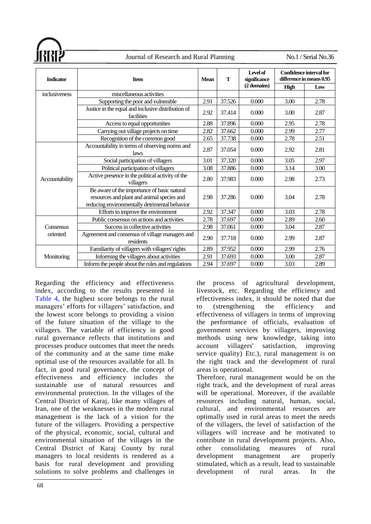

| <b>Indicator</b>      | <b>Item</b>                                                                                                                                |      | T      | Level of<br>significance | Confidence interval for<br>difference in means 0.95 |      |  |
|-----------------------|--------------------------------------------------------------------------------------------------------------------------------------------|------|--------|--------------------------|-----------------------------------------------------|------|--|
|                       |                                                                                                                                            |      |        | (2 domains)              | High                                                | Low  |  |
| inclusiveness         | miscellaneous activities                                                                                                                   |      |        |                          |                                                     |      |  |
|                       | Supporting the poor and vulnerable                                                                                                         | 2.91 | 37.526 | 0.000                    | 3.00                                                | 2.78 |  |
|                       | Justice in the equal and inclusive distribution of<br>facilities                                                                           | 2.92 | 37.414 | 0.000                    | 3.00                                                | 2.87 |  |
|                       | Access to equal opportunities                                                                                                              | 2.88 | 37.896 | 0.000                    | 2.95                                                | 2.78 |  |
|                       | Carrying out village projects on time                                                                                                      | 2.82 | 37.662 | 0.000                    | 2.99                                                | 2.77 |  |
|                       | Recognition of the common good                                                                                                             | 2.65 | 37.738 | 0.000                    | 2.78                                                | 2.51 |  |
|                       | Accountability in terms of observing norms and<br>laws                                                                                     |      | 37.054 | 0.000                    | 2.92                                                | 2.81 |  |
|                       | Social participation of villagers                                                                                                          | 3.01 | 37.320 | 0.000                    | 3.05                                                | 2.97 |  |
|                       | Political participation of villagers                                                                                                       | 3.08 | 37.886 | 0.000                    | 3.14                                                | 3.00 |  |
| Accountability        | Active presence in the political activity of the<br>villagers                                                                              | 2.80 | 37.983 | 0.000                    | 2.98                                                | 2.73 |  |
|                       | Be aware of the importance of basic natural<br>resources and plant and animal species and<br>reducing environmentally detrimental behavior | 2.98 | 37.286 | 0.000                    | 3.04                                                | 2.78 |  |
|                       | Efforts to improve the environment                                                                                                         | 2.92 | 37.347 | 0.000                    | 3.03                                                | 2.78 |  |
|                       | Public consensus on actions and activities                                                                                                 | 2.78 | 37.697 | 0.000                    | 2.89                                                | 2.60 |  |
| Consensus<br>oriented | Success in collective activities                                                                                                           | 2.98 | 37.061 | 0.000                    | 3.04                                                | 2.87 |  |
|                       | Agreement and consensus of village managers and<br>residents                                                                               | 2.90 | 37.718 | 0.000                    | 2.99                                                | 2.87 |  |
|                       | Familiarity of villagers with villagers' rights                                                                                            | 2.89 | 37.952 | 0.000                    | 2.99                                                | 2.76 |  |
| Monitoring            | Informing the villagers about activities                                                                                                   | 2.91 | 37.693 | 0.000                    | 3.00                                                | 2.87 |  |
|                       | Inform the people about the rules and regulations                                                                                          | 2.94 | 37.697 | 0.000                    | 3.03                                                | 2.89 |  |

Regarding the efficiency and effectiveness index, according to the results presented in [Table 4,](#page-8-0) the highest score belongs to the rural managers' efforts for villagers' satisfaction, and the lowest score belongs to providing a vision of the future situation of the village to the villagers. The variable of efficiency in good rural governance reflects that institutions and processes produce outcomes that meet the needs of the community and at the same time make optimal use of the resources available for all. In fact, in good rural governance, the concept of effectiveness and efficiency includes the sustainable use of natural resources and environmental protection. In the villages of the Central District of Karaj, like many villages of Iran, one of the weaknesses in the modern rural management is the lack of a vision for the future of the villagers. Providing a perspective of the physical, economic, social, cultural and environmental situation of the villages in the Central District of Karaj County by rural managers to local residents is rendered as a basis for rural development and providing solutions to solve problems and challenges in

the process of agricultural development, livestock, etc. Regarding the efficiency and effectiveness index, it should be noted that due to (strengthening the efficiency and effectiveness of villagers in terms of improving the performance of officials, evaluation of government services by villagers, improving methods using new knowledge, taking into account villagers' satisfaction, improving service quality) Etc.), rural management is on the right track and the development of rural areas is operational. Therefore, rural management would be on the right track, and the development of rural areas

will be operational. Moreover, if the available resources including natural, human, social, cultural, and environmental resources are optimally used in rural areas to meet the needs of the villagers, the level of satisfaction of the villagers will increase and be motivated to contribute in rural development projects. Also, other consolidating measures of rural development management are properly stimulated, which as a result, lead to sustainable development of rural areas. In the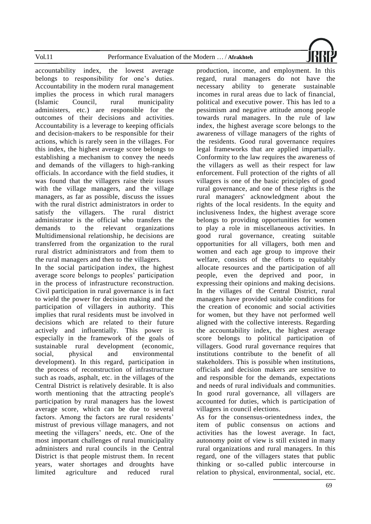

accountability index, the lowest average belongs to responsibility for one's duties. Accountability in the modern rural management implies the process in which rural managers (Islamic Council, rural municipality administers, etc.) are responsible for the outcomes of their decisions and activities. Accountability is a leverage to keeping officials and decision-makers to be responsible for their actions, which is rarely seen in the villages. For this index, the highest average score belongs to establishing a mechanism to convey the needs and demands of the villagers to high-ranking officials. In accordance with the field studies, it was found that the villagers raise their issues with the village managers, and the village managers, as far as possible, discuss the issues with the rural district administrators in order to satisfy the villagers. The rural district administrator is the official who transfers the demands to the relevant organizations Multidimensional relationship, he decisions are transferred from the organization to the rural rural district administrators and from them to the rural managers and then to the villagers.

In the social participation index, the highest average score belongs to peoples' participation in the process of infrastructure reconstruction. Civil participation in rural governance is in fact to wield the power for decision making and the participation of villagers in authority. This implies that rural residents must be involved in decisions which are related to their future actively and influentially. This power is especially in the framework of the goals of sustainable rural development (economic, social, physical and environmental development). In this regard, participation in the process of reconstruction of infrastructure such as roads, asphalt, etc. in the villages of the Central District is relatively desirable. It is also worth mentioning that the attracting people's participation by rural managers has the lowest average score, which can be due to several factors. Among the factors are rural residents' mistrust of previous village managers, and not meeting the villagers' needs, etc. One of the most important challenges of rural municipality administers and rural councils in the Central District is that people mistrust them. In recent years, water shortages and droughts have limited agriculture and reduced rural

production, income, and employment. In this regard, rural managers do not have the necessary ability to generate sustainable incomes in rural areas due to lack of financial, political and executive power. This has led to a pessimism and negative attitude among people towards rural managers. In the rule of law index, the highest average score belongs to the awareness of village managers of the rights of the residents. Good rural governance requires legal frameworks that are applied impartially. Conformity to the law requires the awareness of the villagers as well as their respect for law enforcement. Full protection of the rights of all villagers is one of the basic principles of good rural governance, and one of these rights is the rural managers' acknowledgment about the rights of the local residents. In the equity and inclusiveness Index, the highest average score belongs to providing opportunities for women to play a role in miscellaneous activities. In good rural governance, creating suitable opportunities for all villagers, both men and women and each age group to improve their welfare, consists of the efforts to equitably allocate resources and the participation of all people, even the deprived and poor, in expressing their opinions and making decisions. In the villages of the Central District, rural managers have provided suitable conditions for the creation of economic and social activities for women, but they have not performed well aligned with the collective interests. Regarding the accountability index, the highest average score belongs to political participation of villagers. Good rural governance requires that institutions contribute to the benefit of all stakeholders. This is possible when institutions, officials and decision makers are sensitive to and responsible for the demands, expectations and needs of rural individuals and communities. In good rural governance, all villagers are accounted for duties, which is participation of villagers in council elections.

As for the consensus-orientedness index, the item of public consensus on actions and activities has the lowest average. In fact, autonomy point of view is still existed in many rural organizations and rural managers. In this regard, one of the villagers states that public thinking or so-called public intercourse in relation to physical, environmental, social, etc.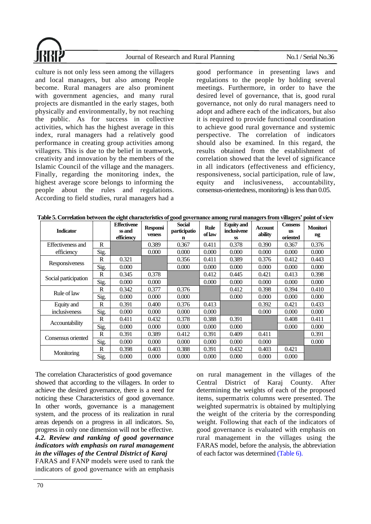culture is not only less seen among the villagers and local managers, but also among People become. Rural managers are also prominent with government agencies, and many rural projects are dismantled in the early stages, both physically and environmentally, by not reaching the public. As for success in collective activities, which has the highest average in this index, rural managers had a relatively good performance in creating group activities among villagers. This is due to the belief in teamwork, creativity and innovation by the members of the Islamic Council of the village and the managers. Finally, regarding the monitoring index, the highest average score belongs to informing the people about the rules and regulations. According to field studies, rural managers had a

good performance in presenting laws and regulations to the people by holding several meetings. Furthermore, in order to have the desired level of governance, that is, good rural governance, not only do rural managers need to adopt and adhere each of the indicators, but also it is required to provide functional coordination to achieve good rural governance and systemic perspective. The correlation of indicators should also be examined. In this regard, the results obtained from the establishment of correlation showed that the level of significance in all indicators (effectiveness and efficiency, responsiveness, social participation, rule of law, equity and inclusiveness, accountability, consensus-orientedness, monitoring) is less than 0.05.

| <b>Indicator</b>         |      | <b>Effectivene</b><br>ss and<br>efficiency | <b>Responsi</b><br>veness | <b>Social</b><br>participatio<br>n | <b>Rule</b><br>of law | <b>Equity</b> and<br>inclusivene<br><b>SS</b> | Account<br>ability | <b>Consens</b><br><b>us</b><br>oriented | <b>Monitori</b><br>ng |
|--------------------------|------|--------------------------------------------|---------------------------|------------------------------------|-----------------------|-----------------------------------------------|--------------------|-----------------------------------------|-----------------------|
| <b>Effectiveness and</b> | R    |                                            | 0.389                     | 0.367                              | 0.411                 | 0.378                                         | 0.390              | 0.367                                   | 0.376                 |
| efficiency               | Sig. |                                            | 0.000                     | 0.000                              | 0.000                 | 0.000                                         | 0.000              | 0.000                                   | 0.000                 |
| Responsiveness           | R    | 0.321                                      |                           | 0.356                              | 0.411                 | 0.389                                         | 0.376              | 0.412                                   | 0.443                 |
|                          | Sig. | 0.000                                      |                           | 0.000                              | 0.000                 | 0.000                                         | 0.000              | 0.000                                   | 0.000                 |
| Social participation     | R    | 0.345                                      | 0.378                     |                                    | 0.412                 | 0.445                                         | 0.421              | 0.413                                   | 0.398                 |
|                          | Sig. | 0.000                                      | 0.000                     |                                    | 0.000                 | 0.000                                         | 0.000              | 0.000                                   | 0.000                 |
| Rule of law              | R    | 0.342                                      | 0.377                     | 0.376                              |                       | 0.412                                         | 0.398              | 0.394                                   | 0.410                 |
|                          | Sig. | 0.000                                      | 0.000                     | 0.000                              |                       | 0.000                                         | 0.000              | 0.000                                   | 0.000                 |
| Equity and               | R    | 0.391                                      | 0.400                     | 0.376                              | 0.413                 |                                               | 0.392              | 0.421                                   | 0.433                 |
| inclusiveness            | Sig. | 0.000                                      | 0.000                     | 0.000                              | 0.000                 |                                               | 0.000              | 0.000                                   | 0.000                 |
| Accountability           | R    | 0.411                                      | 0.432                     | 0.378                              | 0.388                 | 0.391                                         |                    | 0.408                                   | 0.411                 |
|                          | Sig. | 0.000                                      | 0.000                     | 0.000                              | 0.000                 | 0.000                                         |                    | 0.000                                   | 0.000                 |
|                          | R    | 0.391                                      | 0.389                     | 0.412                              | 0.391                 | 0.409                                         | 0.411              |                                         | 0.391                 |
| Consensus oriented       | Sig. | 0.000                                      | 0.000                     | 0.000                              | 0.000                 | 0.000                                         | 0.000              |                                         | 0.000                 |
|                          | R    | 0.398                                      | 0.403                     | 0.388                              | 0.391                 | 0.432                                         | 0.403              | 0.421                                   |                       |
| Monitoring               | Sig. | 0.000                                      | 0.000                     | 0.000                              | 0.000                 | 0.000                                         | 0.000              | 0.000                                   |                       |

| Table 5. Correlation between the eight characteristics of good governance among rural managers from villagers' point of view |  |  |
|------------------------------------------------------------------------------------------------------------------------------|--|--|
|                                                                                                                              |  |  |

The correlation Characteristics of good governance showed that according to the villagers. In order to achieve the desired governance, there is a need for noticing these Characteristics of goodgovernance. In other words, governance is a management system, and the process of its realization in rural areas depends on a progress in all indicators. So, progress in only one dimension will not be effective. *4.2. Review and ranking of good governance indicators with emphasis on rural management in the villages of the Central District of Karaj* FARAS and FANP models were used to rank the

indicators of good governance with an emphasis

on rural management in the villages of the Central District of Karaj County. After determining the weights of each of the proposed items, supermatrix columns were presented. The weighted supermatrix is obtained by multiplying the weight of the criteria by the corresponding weight. Following that each of the indicators of good governance is evaluated with emphasis on rural management in the villages using the FARAS model, before the analysis, the abbreviation of each factor was determined [\(Table 6\).](#page-12-0)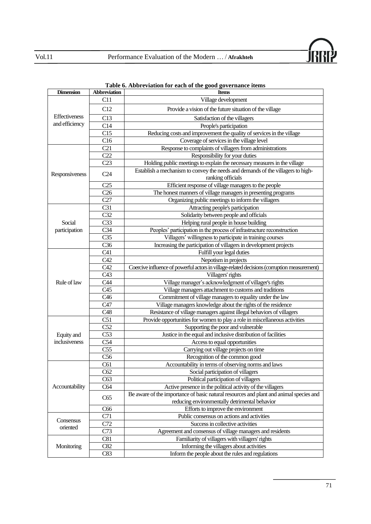

| <b>Dimension</b> | <b>Abbreviation</b> | <b>Items</b>                                                                                         |
|------------------|---------------------|------------------------------------------------------------------------------------------------------|
|                  | C11                 | Village development                                                                                  |
|                  | C12                 | Provide a vision of the future situation of the village                                              |
| Effectiveness    | C13                 | Satisfaction of the villagers                                                                        |
| and efficiency   | C14                 | People's participation                                                                               |
|                  | C15                 | Reducing costs and improvement the quality of services in the village                                |
|                  | C16                 | Coverage of services in the village level                                                            |
|                  | C21                 | Response to complaints of villagers from administrations                                             |
|                  | C22                 | Responsibility for your duties                                                                       |
|                  | C23                 | Holding public meetings to explain the necessary measures in the village                             |
| Responsiveness   | C <sub>24</sub>     | Establish a mechanism to convey the needs and demands of the villagers to high-<br>ranking officials |
|                  | C <sub>25</sub>     | Efficient response of village managers to the people                                                 |
|                  | C <sub>26</sub>     | The honest manners of village managers in presenting programs                                        |
|                  | C27                 | Organizing public meetings to inform the villagers                                                   |
|                  | C31                 | Attracting people's participation                                                                    |
|                  | C <sub>32</sub>     | Solidarity between people and officials                                                              |
| Social           | C <sub>33</sub>     | Helping rural people in house building                                                               |
| participation    | C <sub>34</sub>     | Peoples' participation in the process of infrastructure reconstruction                               |
|                  | C <sub>35</sub>     | Villagers' willingness to participate in training courses                                            |
|                  | C <sub>36</sub>     | Increasing the participation of villagers in development projects                                    |
|                  | C41                 | Fulfill your legal duties                                                                            |
|                  | C42                 | Nepotism in projects                                                                                 |
|                  | C42                 | Coercive influence of powerful actors in village-related decisions (corruption measurement)          |
|                  | C43                 | Villagers' rights                                                                                    |
| Rule of law      | C44                 | Village manager's acknowledgment of villager's rights                                                |
|                  | C45                 | Village managers attachment to customs and traditions                                                |
|                  | C <sub>46</sub>     | Commitment of village managers to equality under the law                                             |
|                  | C47                 | Village managers knowledge about the rights of the residence                                         |
|                  | C48                 | Resistance of village managers against illegal behaviors of villagers                                |
|                  | C51                 | Provide opportunities for women to play a role in miscellaneous activities                           |
|                  | C52                 | Supporting the poor and vulnerable                                                                   |
| Equity and       | C53                 | Justice in the equal and inclusive distribution of facilities                                        |
| inclusiveness    | C54                 | Access to equal opportunities                                                                        |
|                  | C <sub>55</sub>     | Carrying out village projects on time                                                                |
|                  | C56                 | Recognition of the common good                                                                       |
|                  | C61                 | Accountability in terms of observing norms and laws                                                  |
|                  | C62                 | Social participation of villagers                                                                    |
|                  | C63                 | Political participation of villagers                                                                 |
| Accountability   | C64                 | Active presence in the political activity of the villagers                                           |
|                  |                     | Be aware of the importance of basic natural resources and plant and animal species and               |
|                  | C65                 | reducing environmentally detrimental behavior                                                        |
|                  | C66                 | Efforts to improve the environment                                                                   |
|                  | C71                 | Public consensus on actions and activities                                                           |
| Consensus        | C72                 | Success in collective activities                                                                     |
| oriented         | C73                 | Agreement and consensus of village managers and residents                                            |
|                  | C81                 | Familiarity of villagers with villagers' rights                                                      |
| Monitoring       | C82                 | Informing the villagers about activities                                                             |
|                  | C83                 | Inform the people about the rules and regulations                                                    |
|                  |                     |                                                                                                      |

# <span id="page-12-0"></span>**Table 6. Abbreviation for each of the good governance items**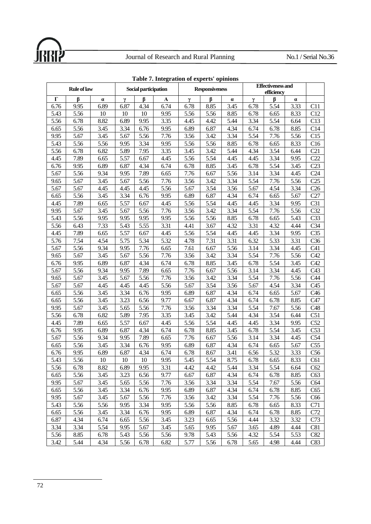

|          |      | <b>Rule of law</b><br>Social participation |        |      |      |      | <b>Responsiveness</b> |          | <b>Effectiveness and</b><br>efficiency |      |      |                 |
|----------|------|--------------------------------------------|--------|------|------|------|-----------------------|----------|----------------------------------------|------|------|-----------------|
| $\Gamma$ | ß    | $\pmb{\alpha}$                             | γ      | ß    | A    | γ    | β                     | $\alpha$ | γ                                      | ß    | α    |                 |
| 6.76     | 9.95 | 6.89                                       | 6.87   | 4.34 | 6.74 | 6.78 | 8.85                  | 3.45     | 6.78                                   | 5.54 | 3.33 | C11             |
| 5.43     | 5.56 | 10                                         | 10     | 10   | 9.95 | 5.56 | 5.56                  | 8.85     | 6.78                                   | 6.65 | 8.33 | C12             |
| 5.56     | 6.78 | 8.82                                       | 6.89   | 9.95 | 3.35 | 4.45 | 4.42                  | 5.44     | 3.34                                   | 5.54 | 6.64 | C13             |
| 6.65     | 5.56 | 3.45                                       | 3.34   | 6.76 | 9.95 | 6.89 | 6.87                  | 4.34     | 6.74                                   | 6.78 | 8.85 | C14             |
| 9.95     | 5.67 | 3.45                                       | 5.67   | 5.56 | 7.76 | 3.56 | 3.42                  | 3.34     | 5.54                                   | 7.76 | 5.56 | C15             |
| 5.43     | 5.56 | 5.56                                       | 9.95   | 3.34 | 9.95 | 5.56 | 5.56                  | 8.85     | 6.78                                   | 6.65 | 8.33 | C16             |
| 5.56     | 6.78 | 6.82                                       | 5.89   | 7.95 | 3.35 | 3.45 | 3.42                  | 5.44     | 4.34                                   | 3.54 | 6.44 | C21             |
| 4.45     | 7.89 | 6.65                                       | 5.57   | 6.67 | 4.45 | 5.56 | 5.54                  | 4.45     | 4.45                                   | 3.34 | 9.95 | C22             |
| 6.76     | 9.95 | 6.89                                       | 6.87   | 4.34 | 6.74 | 6.78 | 8.85                  | 3.45     | 6.78                                   | 5.54 | 3.45 | C23             |
| 5.67     | 5.56 | 9.34                                       | 9.95   | 7.89 | 6.65 | 7.76 | 6.67                  | 5.56     | 3.14                                   | 3.34 | 4.45 | C <sub>24</sub> |
| 9.65     | 5.67 | 3.45                                       | 5.67   | 5.56 | 7.76 | 3.56 | 3.42                  | 3.34     | 5.54                                   | 7.76 | 5.56 | C <sub>25</sub> |
| 5.67     | 5.67 | 4.45                                       | 4.45   | 4.45 | 5.56 | 5.67 | 3.54                  | 3.56     | 5.67                                   | 4.54 | 3.34 | C <sub>26</sub> |
| 6.65     | 5.56 | 3.45                                       | 3.34   | 6.76 | 9.95 | 6.89 | 6.87                  | 4.34     | 6.74                                   | 6.65 | 5.67 | C27             |
| 4.45     | 7.89 | 6.65                                       | 5.57   | 6.67 | 4.45 | 5.56 | 5.54                  | 4.45     | 4.45                                   | 3.34 | 9.95 | C31             |
| 9.95     | 5.67 | 3.45                                       | 5.67   | 5.56 | 7.76 | 3.56 | 3.42                  | 3.34     | 5.54                                   | 7.76 | 5.56 | C <sub>32</sub> |
| 5.43     | 5.56 | 9.95                                       | 9.95   | 9.95 | 9.95 | 5.56 | 5.56                  | 8.85     | 6.78                                   | 6.65 | 5.43 | C <sub>33</sub> |
| 5.56     | 6.43 | 7.33                                       | 5.43   | 5.55 | 3.31 | 4.41 | 3.67                  | 4.32     | 3.31                                   | 4.32 | 4.44 | C <sub>34</sub> |
| 4.45     | 7.89 | 6.65                                       | 5.57   | 6.67 | 4.45 | 5.56 | 5.54                  | 4.45     | 4.45                                   | 3.34 | 9.95 | C <sub>35</sub> |
| 5.76     | 7.54 | 4.54                                       | 5.75   | 5.34 | 5.32 | 4.78 | 7.31                  | 3.31     | 6.32                                   | 5.33 | 3.31 | C <sub>36</sub> |
| 5.67     | 5.56 | 9.34                                       | 9.95   | 7.76 | 6.65 | 7.61 | 6.67                  | 5.56     | 3.14                                   | 3.34 | 4.45 | C <sub>41</sub> |
| 9.65     | 5.67 | 3.45                                       | 5.67   | 5.56 | 7.76 | 3.56 | 3.42                  | 3.34     | 5.54                                   | 7.76 | 5.56 | C42             |
| 6.76     | 9.95 | 6.89                                       | 6.87   | 4.34 | 6.74 | 6.78 | 8.85                  | 3.45     | 6.78                                   | 5.54 | 3.45 | C42             |
| 5.67     | 5.56 | 9.34                                       | 9.95   | 7.89 | 6.65 | 7.76 | 6.67                  | 5.56     | 3.14                                   | 3.34 | 4.45 | C43             |
| 9.65     | 5.67 | 3.45                                       | 5.67   | 5.56 | 7.76 | 3.56 | 3.42                  | 3.34     | 5.54                                   | 7.76 | 5.56 | C44             |
| 5.67     | 5.67 | 4.45                                       | 4.45   | 4.45 | 5.56 | 5.67 | 3.54                  | 3.56     | 5.67                                   | 4.54 | 3.34 | C <sub>45</sub> |
| 6.65     | 5.56 | 3.45                                       | 3.34   | 6.76 | 9.95 | 6.89 | 6.87                  | 4.34     | 6.74                                   | 6.65 | 5.67 | C <sub>46</sub> |
| 6.65     | 5.56 | 3.45                                       | 3.23   | 6.56 | 9.77 | 6.67 | 6.87                  | 4.34     | 6.74                                   | 6.78 | 8.85 | C47             |
| 9.95     | 5.67 | 3.45                                       | 5.65   | 5.56 | 7.76 | 3.56 | 3.34                  | 3.34     | 5.54                                   | 7.67 | 5.56 | C48             |
| 5.56     | 6.78 | 6.82                                       | 5.89   | 7.95 | 3.35 | 3.45 | 3.42                  | 5.44     | 4.34                                   | 3.54 | 6.44 | C51             |
| 4.45     | 7.89 | 6.65                                       | 5.57   | 6.67 | 4.45 | 5.56 | 5.54                  | 4.45     | 4.45                                   | 3.34 | 9.95 | C52             |
| 6.76     | 9.95 | 6.89                                       | 6.87   | 4.34 | 6.74 | 6.78 | 8.85                  | 3.45     | 6.78                                   | 5.54 | 3.45 | C53             |
| 5.67     | 5.56 | 9.34                                       | 9.95   | 7.89 | 6.65 | 7.76 | 6.67                  | 5.56     | 3.14                                   | 3.34 | 4.45 | C54             |
| 6.65     | 5.56 | 3.45                                       | 3.34   | 6.76 | 9.95 | 6.89 | 6.87                  | 4.34     | 6.74                                   | 6.65 | 5.67 | C <sub>55</sub> |
| 6.76     | 9.95 | 6.89                                       | 6.87   | 4.34 | 6.74 | 6.78 | 8.67                  | 3.41     | 6.56                                   | 5.32 | 3.33 | C56             |
| 5.43     | 5.56 | 10                                         | $10\,$ | 10   | 9.95 | 5.45 | 5.54                  | 8.75     | 6.78                                   | 6.65 | 8.33 | C61             |
| 5.56     | 6.78 | 8.82                                       | 6.89   | 9.95 | 3.31 | 4.42 | 4.42                  | 5.44     | 3.34                                   | 5.54 | 6.64 | C62             |
| 6.65     | 5.56 | 3.45                                       | 3.23   | 6.56 | 9.77 | 6.67 | 6.87                  | 4.34     | 6.74                                   | 6.78 | 8.85 | C63             |
| 9.95     | 5.67 | 3.45                                       | 5.65   | 5.56 | 7.76 | 3.56 | 3.34                  | 3.34     | 5.54                                   | 7.67 | 5.56 | C64             |
| 6.65     | 5.56 | 3.45                                       | 3.34   | 6.76 | 9.95 | 6.89 | 6.87                  | 4.34     | 6.74                                   | 6.78 | 8.85 | C65             |
| 9.95     | 5.67 | 3.45                                       | 5.67   | 5.56 | 7.76 | 3.56 | 3.42                  | 3.34     | 5.54                                   | 7.76 | 5.56 | C <sub>66</sub> |
| 5.43     | 5.56 | 5.56                                       | 9.95   | 3.34 | 9.95 | 5.56 | 5.56                  | 8.85     | 6.78                                   | 6.65 | 8.33 | C71             |
| 6.65     | 5.56 | 3.45                                       | 3.34   | 6.76 | 9.95 | 6.89 | 6.87                  | 4.34     | 6.74                                   | 6.78 | 8.85 | C72             |
| 6.87     | 4.34 | 6.74                                       | 6.65   | 5.56 | 3.45 | 3.23 | 6.65                  | 5.56     | 4.44                                   | 3.32 | 3.32 | C73             |
| 3.34     | 3.34 | 5.54                                       | 9.95   | 5.67 | 3.45 | 5.65 | 9.95                  | 5.67     | 3.65                                   | 4.89 | 4.44 | C81             |
| 5.56     | 8.85 | 6.78                                       | 5.43   | 5.56 | 5.56 | 9.78 | 5.43                  | 5.56     | 4.32                                   | 5.54 | 5.53 | C82             |
| 3.42     | 5.44 | 4.34                                       | 5.56   | 6.78 | 6.82 | 5.77 | 5.56                  | 6.78     | 5.65                                   | 4.98 | 4.44 | C83             |

**Table 7. Integration of experts' opinions**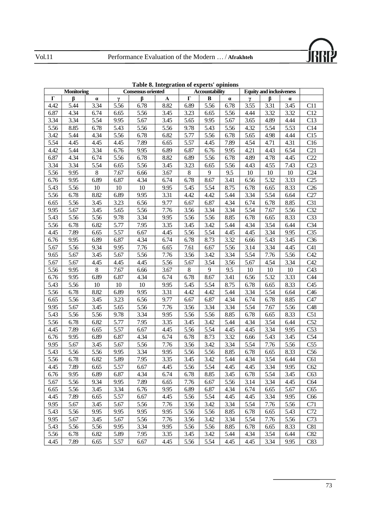

|      | Monitoring |          |      | <b>Consensus oriented</b> |      |         | Tuble of Integration of experts opinions<br>Accountability |          | <b>Equity and inclusiveness</b> |      |          |                 |
|------|------------|----------|------|---------------------------|------|---------|------------------------------------------------------------|----------|---------------------------------|------|----------|-----------------|
| Г    | β          | $\alpha$ | γ    | ß                         | A    | Г       | B                                                          | $\alpha$ | γ                               | ß    | $\alpha$ |                 |
| 4.42 | 5.44       | 3.34     | 5.56 | 6.78                      | 8.82 | 6.89    | 5.56                                                       | 6.78     | 3.55                            | 3.31 | 3.45     | C11             |
| 6.87 | 4.34       | 6.74     | 6.65 | 5.56                      | 3.45 | 3.23    | 6.65                                                       | 5.56     | 4.44                            | 3.32 | 3.32     | C12             |
| 3.34 | 3.34       | 5.54     | 9.95 | 5.67                      | 3.45 | 5.65    | 9.95                                                       | 5.67     | 3.65                            | 4.89 | 4.44     | C13             |
| 5.56 | 8.85       | 6.78     | 5.43 | 5.56                      | 5.56 | 9.78    | 5.43                                                       | 5.56     | 4.32                            | 5.54 | 5.53     | C14             |
| 3.42 | 5.44       | 4.34     | 5.56 | 6.78                      | 6.82 | 5.77    | 5.56                                                       | 6.78     | 5.65                            | 4.98 | 4.44     | C15             |
| 5.54 | 4.45       | 4.45     | 4.45 | 7.89                      | 6.65 | 5.57    | 4.45                                                       | 7.89     | 4.54                            | 4.71 | 4.31     | C16             |
| 4.42 | 5.44       | 3.34     | 6.76 | 9.95                      | 6.89 | 6.87    | 6.76                                                       | 9.95     | 4.21                            | 4.43 | 6.54     | C <sub>21</sub> |
| 6.87 | 4.34       | 6.74     | 5.56 | 6.78                      | 8.82 | 6.89    | 5.56                                                       | 6.78     | 4.89                            | 4.78 | 4.45     | C22             |
| 3.34 | 3.34       | 5.54     | 6.65 | 5.56                      | 3.45 | 3.23    | 6.65                                                       | 5.56     | 4.43                            | 4.55 | 7.43     | C <sub>23</sub> |
| 5.56 | 9.95       | 8        | 7.67 | 6.66                      | 3.67 | $\,8\,$ | 9                                                          | 9.5      | 10                              | 10   | 10       | C <sub>24</sub> |
| 6.76 | 9.95       | 6.89     | 6.87 | 4.34                      | 6.74 | 6.78    | 8.67                                                       | 3.41     | 6.56                            | 5.32 | 3.33     | C25             |
| 5.43 | 5.56       | 10       | 10   | 10                        | 9.95 | 5.45    | 5.54                                                       | 8.75     | 6.78                            | 6.65 | 8.33     | C26             |
| 5.56 | 6.78       | 8.82     | 6.89 | 9.95                      | 3.31 | 4.42    | 4.42                                                       | 5.44     | 3.34                            | 5.54 | 6.64     | C27             |
| 6.65 | 5.56       | 3.45     | 3.23 | 6.56                      | 9.77 | 6.67    | 6.87                                                       | 4.34     | 6.74                            | 6.78 | 8.85     | C31             |
| 9.95 | 5.67       | 3.45     | 5.65 | 5.56                      | 7.76 | 3.56    | 3.34                                                       | 3.34     | 5.54                            | 7.67 | 5.56     | C <sub>32</sub> |
| 5.43 | 5.56       | 5.56     | 9.78 | 3.34                      | 9.95 | 5.56    | 5.56                                                       | 8.85     | 6.78                            | 6.65 | 8.33     | C <sub>33</sub> |
| 5.56 | 6.78       | 6.82     | 5.77 | 7.95                      | 3.35 | 3.45    | 3.42                                                       | 5.44     | 4.34                            | 3.54 | 6.44     | C <sub>34</sub> |
| 4.45 | 7.89       | 6.65     | 5.57 | 6.67                      | 4.45 | 5.56    | 5.54                                                       | 4.45     | 4.45                            | 3.34 | 9.95     | C <sub>35</sub> |
| 6.76 | 9.95       | 6.89     | 6.87 | 4.34                      | 6.74 | 6.78    | 8.73                                                       | 3.32     | 6.66                            | 5.43 | 3.45     | C <sub>36</sub> |
| 5.67 | 5.56       | 9.34     | 9.95 | 7.76                      | 6.65 | 7.61    | 6.67                                                       | 5.56     | 3.14                            | 3.34 | 4.45     | C41             |
| 9.65 | 5.67       | 3.45     | 5.67 | 5.56                      | 7.76 | 3.56    | 3.42                                                       | 3.34     | 5.54                            | 7.76 | 5.56     | C42             |
| 5.67 | 5.67       | 4.45     | 4.45 | 4.45                      | 5.56 | 5.67    | 3.54                                                       | 3.56     | 5.67                            | 4.54 | 3.34     | C42             |
| 5.56 | 9.95       | 8        | 7.67 | 6.66                      | 3.67 | 8       | 9                                                          | 9.5      | 10                              | 10   | 10       | C43             |
| 6.76 | 9.95       | 6.89     | 6.87 | 4.34                      | 6.74 | 6.78    | 8.67                                                       | 3.41     | 6.56                            | 5.32 | 3.33     | C44             |
| 5.43 | 5.56       | 10       | 10   | 10                        | 9.95 | 5.45    | 5.54                                                       | 8.75     | 6.78                            | 6.65 | 8.33     | C45             |
| 5.56 | 6.78       | 8.82     | 6.89 | 9.95                      | 3.31 | 4.42    | 4.42                                                       | 5.44     | 3.34                            | 5.54 | 6.64     | C46             |
| 6.65 | 5.56       | 3.45     | 3.23 | 6.56                      | 9.77 | 6.67    | 6.87                                                       | 4.34     | 6.74                            | 6.78 | 8.85     | C47             |
| 9.95 | 5.67       | 3.45     | 5.65 | 5.56                      | 7.76 | 3.56    | 3.34                                                       | 3.34     | 5.54                            | 7.67 | 5.56     | C48             |
| 5.43 | 5.56       | 5.56     | 9.78 | 3.34                      | 9.95 | 5.56    | 5.56                                                       | 8.85     | 6.78                            | 6.65 | 8.33     | C51             |
| 5.56 | 6.78       | 6.82     | 5.77 | 7.95                      | 3.35 | 3.45    | 3.42                                                       | 5.44     | 4.34                            | 3.54 | 6.44     | C52             |
| 4.45 | 7.89       | 6.65     | 5.57 | 6.67                      | 4.45 | 5.56    | 5.54                                                       | 4.45     | 4.45                            | 3.34 | 9.95     | C <sub>53</sub> |
| 6.76 | 9.95       | 6.89     | 6.87 | 4.34                      | 6.74 | 6.78    | 8.73                                                       | 3.32     | 6.66                            | 5.43 | 3.45     | C54             |
| 9.95 | 5.67       | 3.45     | 5.67 | 5.56                      | 7.76 | 3.56    | 3.42                                                       | 3.34     | 5.54                            | 7.76 | 5.56     | C <sub>55</sub> |
| 5.43 | 5.56       | 5.56     | 9.95 | 3.34                      | 9.95 | 5.56    | 5.56                                                       | 8.85     | 6.78                            | 6.65 | 8.33     | C56             |
| 5.56 | 6.78       | 6.82     | 5.89 | 7.95                      | 3.35 | 3.45    | 3.42                                                       | 5.44     | 4.34                            | 3.54 | 6.44     | C61             |
| 4.45 | 7.89       | 6.65     | 5.57 | 6.67                      | 4.45 | 5.56    | 5.54                                                       | 4.45     | 4.45                            | 3.34 | 9.95     | C62             |
| 6.76 | 9.95       | 6.89     | 6.87 | 4.34                      | 6.74 | 6.78    | 8.85                                                       | 3.45     | 6.78                            | 5.54 | 3.45     | C63             |
| 5.67 | 5.56       | 9.34     | 9.95 | 7.89                      | 6.65 | 7.76    | 6.67                                                       | 5.56     | 3.14                            | 3.34 | 4.45     | C64             |
| 6.65 | 5.56       | 3.45     | 3.34 | 6.76                      | 9.95 | 6.89    | 6.87                                                       | 4.34     | 6.74                            | 6.65 | 5.67     | C65             |
| 4.45 | 7.89       | 6.65     | 5.57 | 6.67                      | 4.45 | 5.56    | 5.54                                                       | 4.45     | 4.45                            | 3.34 | 9.95     | C66             |
| 9.95 | 5.67       | 3.45     | 5.67 | 5.56                      | 7.76 | 3.56    | 3.42                                                       | 3.34     | 5.54                            | 7.76 | 5.56     | C71             |
| 5.43 | 5.56       | 9.95     | 9.95 | 9.95                      | 9.95 | 5.56    | 5.56                                                       | 8.85     | 6.78                            | 6.65 | 5.43     | C72             |
| 9.95 | 5.67       | 3.45     | 5.67 | 5.56                      | 7.76 | 3.56    | 3.42                                                       | 3.34     | 5.54                            | 7.76 | 5.56     | C73             |
| 5.43 | 5.56       | 5.56     | 9.95 | 3.34                      | 9.95 | 5.56    | 5.56                                                       | 8.85     | 6.78                            | 6.65 | 8.33     | C81             |
| 5.56 | 6.78       | 6.82     | 5.89 | 7.95                      | 3.35 | 3.45    | 3.42                                                       | 5.44     | 4.34                            | 3.54 | 6.44     | C82             |
| 4.45 | 7.89       | 6.65     | 5.57 | 6.67                      | 4.45 | 5.56    | 5.54                                                       | 4.45     | 4.45                            | 3.34 | 9.95     | C83             |

**Table 8. Integration of experts' opinions**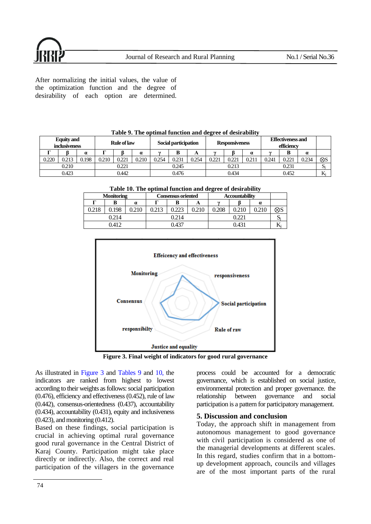After normalizing the initial values, the value of the optimization function and the degree of desirability of each option are determined.

| <b>Equity</b> and<br><i>inclusiveness</i> |       |          | <b>Rule of law</b> |       |          | Social participation |       |       | <b>Responsiveness</b> |       |                | Effectiveness and<br>efficiency |       |       |             |
|-------------------------------------------|-------|----------|--------------------|-------|----------|----------------------|-------|-------|-----------------------|-------|----------------|---------------------------------|-------|-------|-------------|
|                                           |       | $\alpha$ |                    |       | $\alpha$ |                      |       | A     | 65                    |       | $\alpha$       |                                 |       |       |             |
| 0.220                                     | 0.213 | ).198    | 0.210              | 0.221 | 0.210    | 0.254                | 0.231 | 0.254 | በንንነ                  | 0.221 | $0.21^{\circ}$ | 0.241                           | 0.221 | 0.234 | $\otimes$ S |
|                                           | 0.210 |          |                    | 0.221 |          |                      | 0.245 |       |                       | 0.213 |                |                                 | 0.231 |       | וט          |
|                                           | 0.423 |          |                    | 0.442 |          |                      | 0.476 |       |                       | 0.434 |                |                                 | 0.452 |       |             |

<span id="page-15-1"></span>**Table 9. The optimal function and degree of desirability**

<span id="page-15-2"></span>**Table 10. The optimal function and degree of desirability**

| <b>Monitoring</b> |       |          |     | Consensus oriented |       | <b>Accountability</b> |       |          |     |
|-------------------|-------|----------|-----|--------------------|-------|-----------------------|-------|----------|-----|
|                   | B     | $\alpha$ | ┳   | B                  | A     | AF.                   |       | $\alpha$ |     |
| 0.218             | 0.198 | 0.210    | 213 |                    | 0.210 | 0.208                 |       |          | X). |
|                   | 0.214 |          |     | 214                |       |                       |       |          |     |
|                   | 0.412 |          |     | 0.437              |       |                       | 0.431 |          |     |



**Figure 3. Final weight of indicators for good rural governance**

<span id="page-15-0"></span>As illustrated in [Figure 3](#page-15-0) and [Tables 9](#page-15-1) and [10,](#page-15-2) the indicators are ranked from highest to lowest according to their weights as follows: social participation (0.476), efficiency and effectiveness (0.452), rule of law (0.442), consensus-orientedness (0.437), accountability (0.434), accountability (0.431), equity and inclusiveness (0.423), and monitoring (0.412).

Based on these findings, social participation is crucial in achieving optimal rural governance good rural governance in the Central District of Karaj County. Participation might take place directly or indirectly. Also, the correct and real participation of the villagers in the governance

process could be accounted for a democratic governance, which is established on social justice, environmental protection and proper governance. the relationship between governance and social participation is a pattern for participatory management.

# **5. Discussion and conclusion**

Today, the approach shift in management from autonomous management to good governance with civil participation is considered as one of the managerial developments at different scales. In this regard, studies confirm that in a bottomup development approach, councils and villages are of the most important parts of the rural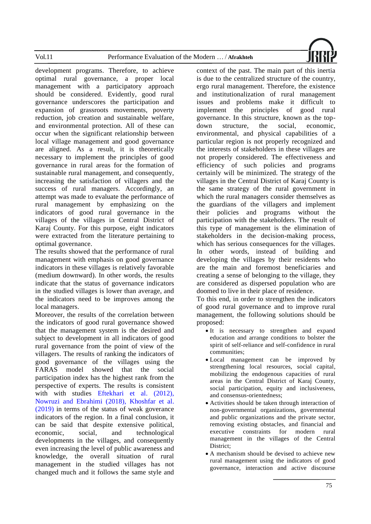

development programs. Therefore, to achieve optimal rural governance, a proper local management with a participatory approach should be considered. Evidently, good rural governance underscores the participation and expansion of grassroots movements, poverty reduction, job creation and sustainable welfare, and environmental protection. All of these can occur when the significant relationship between local village management and good governance are aligned. As a result, it is theoretically necessary to implement the principles of good governance in rural areas for the formation of sustainable rural management, and consequently, increasing the satisfaction of villagers and the success of rural managers. Accordingly, an attempt was made to evaluate the performance of rural management by emphasizing on the indicators of good rural governance in the villages of the villages in Central District of Karaj County. For this purpose, eight indicators were extracted from the literature pertaining to optimal governance.

The results showed that the performance of rural management with emphasis on good governance indicators in these villages is relatively favorable (medium downward). In other words, the results indicate that the status of governance indicators in the studied villages is lower than average, and the indicators need to be improves among the local managers.

Moreover, the results of the correlation between the indicators of good rural governance showed that the management system is the desired and subject to development in all indicators of good rural governance from the point of view of the villagers. The results of ranking the indicators of good governance of the villages using the FARAS model showed that the social participation index has the highest rank from the perspective of experts. The results is consistent with with studies [Eftekhari et al. \(2012\),](#page-18-12) [Nowruzi and Ebrahimi \(2018\),](#page-18-10) [Khoshfar et al.](#page-17-11)  [\(2019\)](#page-17-11) in terms of the status of weak goverance indicators of the region. In a final conclusion, it can be said that despite extensive political, economic, social, and technological developments in the villages, and consequently even increasing the level of public awareness and knowledge, the overall situation of rural management in the studied villages has not changed much and it follows the same style and

context of the past. The main part of this inertia is due to the centralized structure of the country, ergo rural management. Therefore, the existence and institutionalization of rural management issues and problems make it difficult to implement the principles of good rural governance. In this structure, known as the topdown structure, the social, economic, environmental, and physical capabilities of a particular region is not properly recognized and the interests of stakeholders in these villages are not properly considered. The effectiveness and efficiency of such policies and programs certainly will be minimized. The strategy of the villages in the Central District of Karaj County is the same strategy of the rural government in which the rural managers consider themselves as the guardians of the villagers and implement their policies and programs without the participation with the stakeholders. The result of this type of management is the elimination of stakeholders in the decision-making process, which has serious consequences for the villages. In other words, instead of building and developing the villages by their residents who are the main and foremost beneficiaries and creating a sense of belonging to the village, they are considered as dispersed population who are doomed to live in their place of residence.

To this end, in order to strengthen the indicators of good rural governance and to improve rural management, the following solutions should be proposed:

- It is necessary to strengthen and expand education and arrange conditions to bolster the spirit of self-reliance and self-confidence in rural communities;
- Local management can be improved by strengthening local resources, social capital, mobilizing the endogenous capacities of rural areas in the Central District of Karaj County, social participation, equity and inclusiveness, and consensus-orientedness;
- Activities should be taken through interaction of non-governmental organizations, governmental and public organizations and the private sector, removing existing obstacles, and financial and executive constraints for modern rural management in the villages of the Central District;
- A mechanism should be devised to achieve new rural management using the indicators of good governance, interaction and active discourse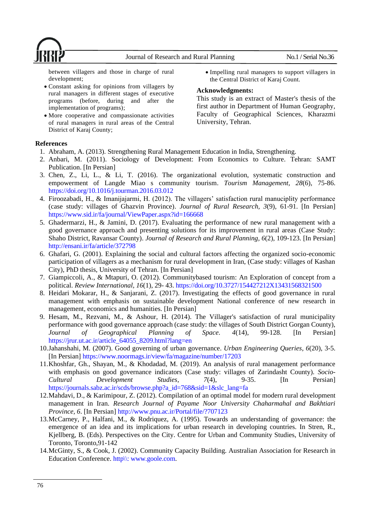

between villagers and those in charge of rural development;

- Constant asking for opinions from villagers by rural managers in different stages of executive programs (before, during and after the implementation of programs);
- More cooperative and compassionate activities of rural managers in rural areas of the Central District of Karaj County;
- Impelling rural managers to support villagers in the Central District of Karaj Count.

# **Acknowledgments:**

This study is an extract of Master's thesis of the first author in Department of Human Geography, Faculty of Geographical Sciences, Kharazmi University, Tehran.

# **References**

- <span id="page-17-1"></span>1. Abraham, A. (2013). Strengthening Rural Management Education in India, Strengthening.
- <span id="page-17-5"></span>2. Anbari, M. (2011). Sociology of Development: From Economics to Culture. Tehran: SAMT Publication. [In Persian]
- 3. Chen, Z., Li, L., & Li, T. (2016). The organizational evolution, systematic construction and empowerment of Langde Miao s community tourism. *Tourism Management, 28*(6), 75-86. https://doi.org/10.1016/j.tourman.2016.03.012
- <span id="page-17-0"></span>4. Firoozabadi, H., & Imanijajarmi, H. (2012). The villagers' satisfaction rural manuciplity performance (case study: villages of Ghazvin Province). *Journal of Rural Research, 3*(9), 61-91. [In Persian] https://www.sid.ir/fa/journal/ViewPaper.aspx?id=166668
- <span id="page-17-10"></span>5. Ghadermarzi, H., & Jamini, D. (2017). Evaluating the performance of new rural management with a good governance approach and presenting solutions for its improvement in rural areas (Case Study: Shaho District, Ravansar County). *Journal of Research and Rural Planning, 6*(2), 109-123. [In Persian] http://ensani.ir/fa/article/372798
- <span id="page-17-6"></span>6. Ghafari, G. (2001). Explaining the social and cultural factors affecting the organized socio-economic participation of villagers as a mechanism for rural development in Iran, (Case study: villages of Kashan City), PhD thesis, University of Tehran. [In Persian]
- <span id="page-17-7"></span>7. Giampiccoli, A., & Mtapuri, O. (2012). Communitybased tourism: An Exploration of concept from a political. *Review International, 16*(1), 29- 43. https://doi.org/10.3727/154427212X13431568321500
- <span id="page-17-9"></span>8. Heidari Mokarar, H., & Sanjarani, Z. (2017). Investigating the effects of good governance in rural management with emphasis on sustainable development National conference of new research in management, economics and humanities. [In Persian]
- <span id="page-17-12"></span>9. Hesam, M., Rezvani, M., & Ashour, H. (2014). The Villager's satisfaction of rural municipality performance with good governance approach (case study: the villages of South District Gorgan County), *Journal of Geographical Planning of Space. 4*(14), 99-128. [In Persian] https://jrur.ut.ac.ir/article\_64055\_8209.html?lang=en
- <span id="page-17-4"></span>10.Jahanshahi, M. (2007). Good governing of urban governance. *Urban Engineering Queries, 6*(20), 3-5. [In Persian] https://www.noormags.ir/view/fa/magazine/number/17203
- <span id="page-17-11"></span>11.Khoshfar, Gh., Shayan, M., & Khodadad, M. (2019). An analysis of rural management performance with emphasis on good governance indicators (Case study: villages of Zarindasht County). *Socio-Cultural Development Studies, 7*(4), 9-35. [In Persian] https://journals.sabz.ac.ir/scds/browse.php?a\_id=768&sid=1&slc\_lang=fa
- <span id="page-17-2"></span>12.Mahdavi, D., & Karimipour, Z. (2012). Compilation of an optimal model for modern rural development management in Iran. *Research Journal of Payame Noor University Chaharmahal and Bakhtiari Province, 6*. [In Persian] http://www.pnu.ac.ir/Portal/file/?707123
- <span id="page-17-3"></span>13.McCarney, P., Halfani, M., & Rodriquez, A. (1995). Towards an understanding of governance: the emergence of an idea and its implications for urban research in developing countries. In Stren, R., Kjellberg, B. (Eds). Perspectives on the City. Centre for Urban and Community Studies, University of Toronto, Toronto,91-142
- <span id="page-17-8"></span>14.McGinty, S., & Cook, J. (2002). Community Capacity Building. Australian Association for Research in Education Conference. http\\: [www.goole.com.](http://www.goole.com/)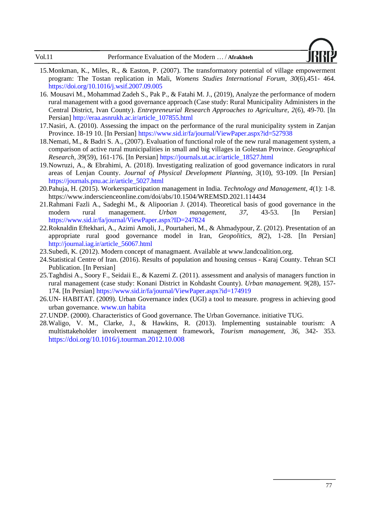

- <span id="page-18-8"></span>15.Monkman, K., Miles, R., & Easton, P. (2007). The transformatory potential of village empowerment program: The Tostan replication in Mali, *Womens Studies International Forum, 30*(6),451- 464. https://doi.org/10.1016/j.wsif.2007.09.005
- <span id="page-18-11"></span>16. Mousavi M., Mohammad Zadeh S., Pak P., & Fatahi M. J., (2019), Analyze the performance of modern rural management with a good governance approach (Case study: Rural Municipality Administers in the Central District, Ivan County). *Entrepreneurial Research Approaches to Agriculture, 2*(6), 49-70. [In Persian] http://eraa.asnrukh.ac.ir/article\_107855.html
- <span id="page-18-3"></span>17.Nasiri, A. (2010). Assessing the impact on the performance of the rural municipality system in Zanjan Province. 18-19 10. [In Persian] https://www.sid.ir/fa/journal/ViewPaper.aspx?id=527938
- <span id="page-18-1"></span>18.Nemati, M., & Badri S. A., (2007). Evaluation of functional role of the new rural management system, a comparison of active rural municipalities in small and big villages in Golestan Province. *Geographical Research, 39*(59), 161-176. [In Persian] https://journals.ut.ac.ir/article\_18527.html
- <span id="page-18-10"></span>19.Nowruzi, A., & Ebrahimi, A. (2018). Investigating realization of good governance indicators in rural areas of Lenjan County. *Journal of Physical Development Planning, 3*(10), 93-109. [In Persian] https://journals.pnu.ac.ir/article\_5027.html
- <span id="page-18-4"></span>20.Pahuja, H. (2015). Workersparticipation management in India. *Technology and Management, 4*(1): 1-8. https://www.inderscienceonline.com/doi/abs/10.1504/WREMSD.2021.114434
- <span id="page-18-2"></span>21.Rahmani Fazli A., Sadeghi M., & Alipoorian J. (2014). Theoretical basis of good governance in the modern rural management. *Urban management, 37*, 43-53. [In Persian] https://www.sid.ir/fa/journal/ViewPaper.aspx?ID=247824
- <span id="page-18-12"></span>22.Roknaldin Eftekhari, A., Azimi Amoli, J., Pourtaheri, M., & Ahmadypour, Z. (2012). Presentation of an appropriate rural good governance model in Iran, *Geopolitics, 8*(2), 1-28. [In Persian] http://journal.iag.ir/article\_56067.html
- <span id="page-18-5"></span>23.Subedi, K. (2012). Modern concept of managmaent. Available at www.landcoalition.org.
- <span id="page-18-0"></span>24.Statistical Centre of Iran. (2016). Results of population and housing census - Karaj County. Tehran SCI Publication. [In Persian]
- 25.Taghdisi A., Soory F., Seidaii E., & Kazemi Z. (2011). assessment and analysis of managers function in rural management (case study: Konani District in Kohdasht County). *Urban management. 9*(28), 157- 174. [In Persian] https://www.sid.ir/fa/journal/ViewPaper.aspx?id=174919
- <span id="page-18-7"></span>26.UN- HABITAT. (2009). Urban Governance index (UGI) a tool to measure. progress in achieving good urban governance. www.un habita
- <span id="page-18-6"></span>27.UNDP. (2000). Characteristics of Good governance. The Urban Governance. initiative TUG.
- <span id="page-18-9"></span>28.Waligo, V. M., Clarke, J., & Hawkins, R. (2013). Implementing sustainable tourism: A multisttakeholder involvement management framework, *Tourism management, 36*, 342- 353. https://doi.org/10.1016/j.tourman.2012.10.008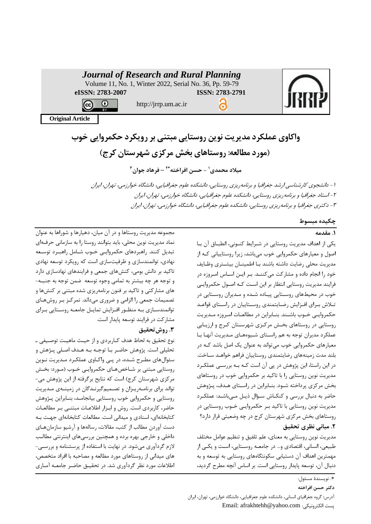|                         | <b>Journal of Research and Rural Planning</b><br>Volume 11, No. 1, Winter 2022, Serial No. 36, Pp. 59-79 |                 |  |
|-------------------------|----------------------------------------------------------------------------------------------------------|-----------------|--|
| eISSN: 2783-2007        |                                                                                                          | ISSN: 2783-2791 |  |
|                         | http://jrrp.um.ac.ir                                                                                     |                 |  |
| <b>Original Article</b> |                                                                                                          |                 |  |

# **واکاوی عملکرد مدیریت نوین روستایی مبتنی بر رویکرد حکمروایی خوب )مورد مطالعه: روستا های بخش مرکزی شهرستان کرج(**

**1 میالد محمدی - حسن افراخته – فرهاد جوان \*<sup>2</sup> 3**

-1 دانشجوی کارشناسی ارشد جغرافیا و برنامهریزی روستایی، دانشکده علوم جغرافیایی، دانشگاه خوارزمی، تهران، ایران -2 استاد جغرافیا و برنامهریزی روستایی، دانشکده علوم جغرافیایی، دانشگاه خوارزمی، تهران، ایران -3 دکتری جغرافیا و برنامهریزی روستایی، دانشکده علوم جغرافیایی، دانشگاه خوارزمی، تهران، ایران

# **چکیده مبسوط**

# **.1 مقدمه**

یکی از اهداف مدیریت روستایی در شررایط کنرونی، اناقرا ان برا اصول و معیارهای حکمروایی خوب میباشد، زیرا روستاییانی کره از مدیریت محلی رضایت داشته باشند بـا اطمینــان بیشــتری وظــایف خود را انجام داده و مشارکت میکننـد. بـر ایـن اسـاس امـروزه در فرایند مدیریت روستایی انتظار بر این است ک4 اصـول حکمروایـی خوب در محیطهای روستایی پیاده شده و مـدیران روسـتایی در تـلاش بـرای افـزایش رضـایتمندی روسـتاییان در راسـتای قواعـد حکمروایی خـوب باشـند. بنـابراین در مطالعـات امـروزه مـدیریت روستایی در روستاهای بخش مرکزی شهرستان کرج و ارزیابی عملکرد مدیران توجه به هم راستای شیوههای مدیریت آنها با معیارهای حکمروایی خوب میتواند به عنوان یک اصل باشد کره در بلند مدد زمینههای رضایتمندی روستاییان فراهم خواهرد سراختب در این راستا، این پژوهش در پی آن است کـه بـه بررسـی عملکـرد مدیریت نوین روستایی را با تاکید بر حکمروایی خوب در روستاهای بخش مرکزی پرداخته شـود. بنـابراین در راسـتای هـدف، پـژوهش حاضر به دنبال بررسی و کنکاش سؤال ذیـل مـیباشـد: عملکـرد مدیریت نوین روستایی با تاکید بـر حکمروایـی خـوب روسـتایی در روستاهای بخش مرکزی شهرستان کرج در چه وضعیتی قرار دارد؟ **.2 مبانی نظری تحقیق**

مدیریت نوین روستایی به معنای، علم تلفیق و تنظیم عوامل مختلف یقیعی، انسانی، ا تصادی وببب در جامعره روسرتایی، اسرت و یکری از مهمترین اهداف آن دستیابی سکونتگاههای روستایی به توسعه و به دنبال آن، توسعه پایدار روستایی است. بر اساس آنچه مطرح گردید،

مجموعه مدیریت روستاها و در ان میان، دهیارها و شوراها به عنوان نماد مدیریت نوی محلی، باید بتوانند روستا را به سازمانی حرفرهای تبدیل کنند. راهبردهای حکمروایی خـوب شـامل راهبـرد توسـعه نهادی، توانمندسازی و رفیتسازی است که رویکرد توسعه نهادی تاکید بر دانت بومی، کنتهای جمعی و فرایندهای نهادسازی دارد و توجه هر چه بیشتر به تمامی وجوه توسعه ضمن توجه به جنبـه-های مشارکتی و تاکید بر فنون برنامهریزی شده مقتنی بر کنتها و تصمیمات جمعی را الزامی و ضروری میداند. تمرکـز بـر روشهـای توانمندسازی به منظور افـزایش تمایـل جامعـه روسـتایی بـرای مشارکت در فرایند توسعه پایدار است.

# **.3 روشتحقیق**

نوع تحقیق به لحاظ هدف کـاربردی و از حیـث ماهیـت توصـیفی ـ تحلیلی است. پژوهش حاضر بـا توجـه بـه هـدف اصـلی پـژهش و سئوالهای مطـرح شـده، در پـی واکـاوی عملکـرد مـدیریت نـوین روستایی مبتنی بر شـاخصهـای حکمروایـی خـوب (مـورد: بخـش مرکزی شهرستان کرج) است که نتایح برگرفته از این پژوهش می-تواند برای برنامهریرزان و تصمیمگیرندگان در زمینهی مدیریت روستایی و حکمروایی خوب روستایی بیانجامد، بنـابراین پـژوهش حاضر، کاربردی است. روش و ابـزار اطلاعـات مبتنـی بـر مطالعـات کتابخانهای، اسنادی و میدانی است. مطالعات کتابخانهای جهت بـه دست آوردن مطالب از کتب، مقالات، رسالهها و آرشیو سازمانهـای داخلی و خارجی بهره برده و همچنین بررسیهای اینترنتی مطالب لازم گردآوری می شود. در نهایت با استفاده از پرسشنامه و بررسی-های میدانی از روستاهای مورد مطالعه و مصاحبه با افراد متخصص، اطلاعات مورد نظر گردآوری شد. در تحقیـق حاضـر جامعـه آمـاری

**دکتر حسن افراخته**

ادر **:** گروه جغرافیای انسانی، دانشکده علوم جغرافیایی، دانشگاه خوارزمی، تهران، ایران Email: afrakhtehh@yahoo.com اوکترونیکی است

ب نویسندة مسئول